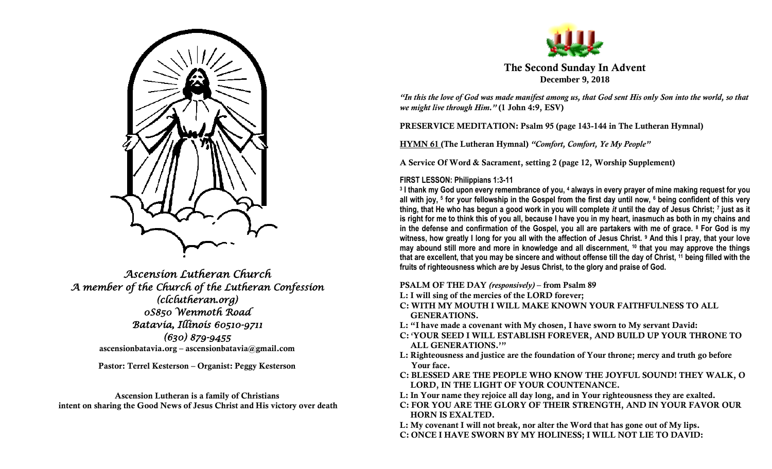

*Ascension Lutheran Church A member of the Church of the Lutheran Confession (clclutheran.org) 0S850 Wenmoth Road Batavia, Illinois 60510-9711 (630) 879-9455*  **ascensionbatavia.org – ascensionbatavia@gmail.com**

**Pastor: Terrel Kesterson – Organist: Peggy Kesterson**

**Ascension Lutheran is a family of Christians intent on sharing the Good News of Jesus Christ and His victory over death**



**The Second Sunday In Advent December 9, 2018**

*"In this the love of God was made manifest among us, that God sent His only Son into the world, so that we might live through Him."* **(1 John 4:9, ESV)**

**PRESERVICE MEDITATION: Psalm 95 (page 143-144 in The Lutheran Hymnal)**

**HYMN 61 (The Lutheran Hymnal)** *"Comfort, Comfort, Ye My People"*

**A Service Of Word & Sacrament, setting 2 (page 12, Worship Supplement)**

# **FIRST LESSON: Philippians 1:3-11**

**3 I thank my God upon every remembrance of you, <sup>4</sup> always in every prayer of mine making request for you all with joy, <sup>5</sup> for your fellowship in the Gospel from the first day until now, <sup>6</sup> being confident of this very thing, that He who has begun a good work in you will complete** *it* **until the day of Jesus Christ; <sup>7</sup> just as it is right for me to think this of you all, because I have you in my heart, inasmuch as both in my chains and in the defense and confirmation of the Gospel, you all are partakers with me of grace. <sup>8</sup> For God is my witness, how greatly I long for you all with the affection of Jesus Christ. <sup>9</sup> And this I pray, that your love may abound still more and more in knowledge and all discernment, <sup>10</sup> that you may approve the things that are excellent, that you may be sincere and without offense till the day of Christ, <sup>11</sup> being filled with the fruits of righteousness which** *are* **by Jesus Christ, to the glory and praise of God.**

**PSALM OF THE DAY** *(responsively)* **– from Psalm 89**

- **L: I will sing of the mercies of the LORD forever;**
- **C: WITH MY MOUTH I WILL MAKE KNOWN YOUR FAITHFULNESS TO ALL GENERATIONS.**
- **L: "I have made a covenant with My chosen, I have sworn to My servant David:**
- **C: 'YOUR SEED I WILL ESTABLISH FOREVER, AND BUILD UP YOUR THRONE TO ALL GENERATIONS.'"**
- **L: Righteousness and justice are the foundation of Your throne; mercy and truth go before Your face.**
- **C: BLESSED ARE THE PEOPLE WHO KNOW THE JOYFUL SOUND! THEY WALK, O LORD, IN THE LIGHT OF YOUR COUNTENANCE.**
- **L: In Your name they rejoice all day long, and in Your righteousness they are exalted.**
- **C: FOR YOU ARE THE GLORY OF THEIR STRENGTH, AND IN YOUR FAVOR OUR HORN IS EXALTED.**
- **L: My covenant I will not break, nor alter the Word that has gone out of My lips. C: ONCE I HAVE SWORN BY MY HOLINESS; I WILL NOT LIE TO DAVID:**